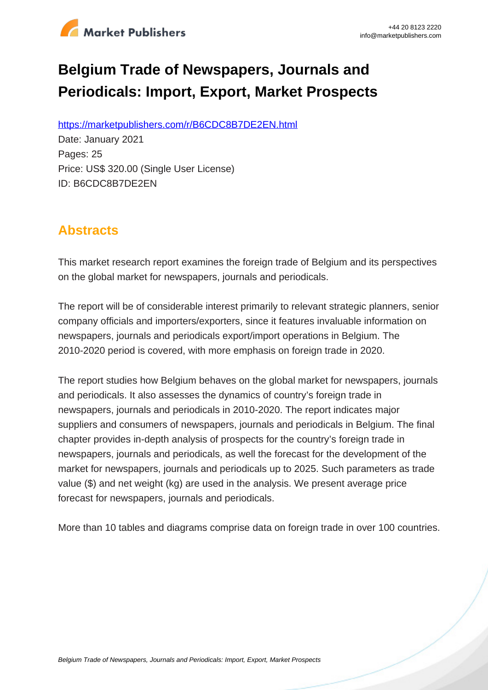

# **Belgium Trade of Newspapers, Journals and Periodicals: Import, Export, Market Prospects**

https://marketpublishers.com/r/B6CDC8B7DE2EN.html

Date: January 2021 Pages: 25 Price: US\$ 320.00 (Single User License) ID: B6CDC8B7DE2EN

# **Abstracts**

This market research report examines the foreign trade of Belgium and its perspectives on the global market for newspapers, journals and periodicals.

The report will be of considerable interest primarily to relevant strategic planners, senior company officials and importers/exporters, since it features invaluable information on newspapers, journals and periodicals export/import operations in Belgium. The 2010-2020 period is covered, with more emphasis on foreign trade in 2020.

The report studies how Belgium behaves on the global market for newspapers, journals and periodicals. It also assesses the dynamics of country's foreign trade in newspapers, journals and periodicals in 2010-2020. The report indicates major suppliers and consumers of newspapers, journals and periodicals in Belgium. The final chapter provides in-depth analysis of prospects for the country's foreign trade in newspapers, journals and periodicals, as well the forecast for the development of the market for newspapers, journals and periodicals up to 2025. Such parameters as trade value (\$) and net weight (kg) are used in the analysis. We present average price forecast for newspapers, journals and periodicals.

More than 10 tables and diagrams comprise data on foreign trade in over 100 countries.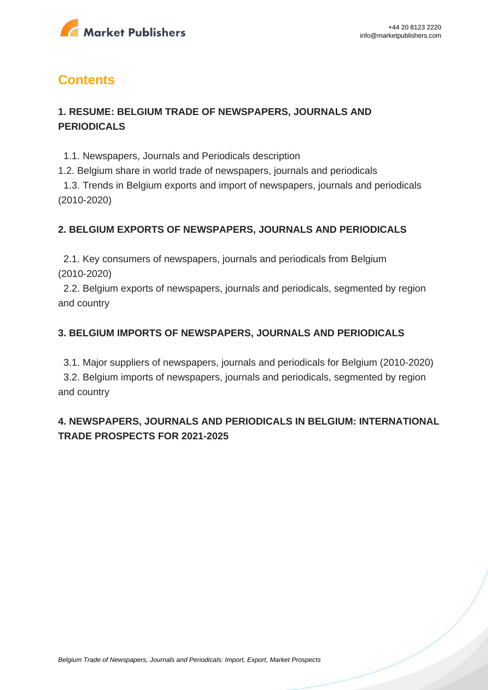

# **Contents**

## **1. RESUME: BELGIUM TRADE OF NEWSPAPERS, JOURNALS AND PERIODICALS**

1.1. Newspapers, Journals and Periodicals description

1.2. Belgium share in world trade of newspapers, journals and periodicals

 1.3. Trends in Belgium exports and import of newspapers, journals and periodicals (2010-2020)

#### **2. BELGIUM EXPORTS OF NEWSPAPERS, JOURNALS AND PERIODICALS**

 2.1. Key consumers of newspapers, journals and periodicals from Belgium (2010-2020)

 2.2. Belgium exports of newspapers, journals and periodicals, segmented by region and country

#### **3. BELGIUM IMPORTS OF NEWSPAPERS, JOURNALS AND PERIODICALS**

 3.1. Major suppliers of newspapers, journals and periodicals for Belgium (2010-2020) 3.2. Belgium imports of newspapers, journals and periodicals, segmented by region and country

## **4. NEWSPAPERS, JOURNALS AND PERIODICALS IN BELGIUM: INTERNATIONAL TRADE PROSPECTS FOR 2021-2025**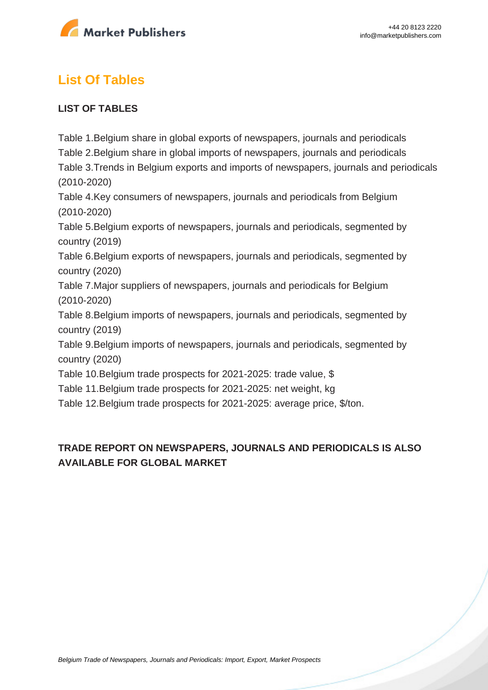

# **List Of Tables**

#### **LIST OF TABLES**

Table 1.Belgium share in global exports of newspapers, journals and periodicals Table 2.Belgium share in global imports of newspapers, journals and periodicals Table 3.Trends in Belgium exports and imports of newspapers, journals and periodicals (2010-2020) Table 4.Key consumers of newspapers, journals and periodicals from Belgium (2010-2020) Table 5.Belgium exports of newspapers, journals and periodicals, segmented by country (2019) Table 6.Belgium exports of newspapers, journals and periodicals, segmented by country (2020) Table 7.Major suppliers of newspapers, journals and periodicals for Belgium

(2010-2020)

Table 8.Belgium imports of newspapers, journals and periodicals, segmented by country (2019)

Table 9.Belgium imports of newspapers, journals and periodicals, segmented by country (2020)

Table 10.Belgium trade prospects for 2021-2025: trade value, \$

Table 11.Belgium trade prospects for 2021-2025: net weight, kg

Table 12.Belgium trade prospects for 2021-2025: average price, \$/ton.

## **TRADE REPORT ON NEWSPAPERS, JOURNALS AND PERIODICALS IS ALSO AVAILABLE FOR GLOBAL MARKET**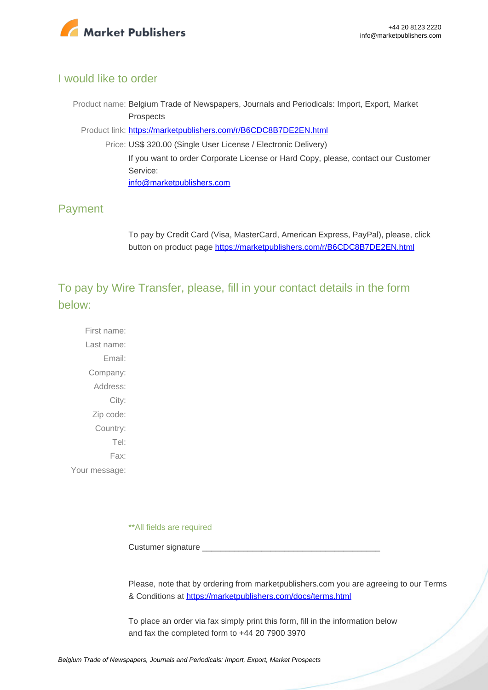

#### I would like to order

Product name: Belgium Trade of Newspapers, Journals and Periodicals: Import, Export, Market Prospects

Product link: [https://marketpublishers.com/r/B6CDC8B7DE2EN.html](https://marketpublishers.com/report/technologies_electronics/media/belgium_trade_market_research_of_newspapers_journals_n_periodicals_bac.html)

Price: US\$ 320.00 (Single User License / Electronic Delivery) If you want to order Corporate License or Hard Copy, please, contact our Customer Service: [info@marketpublishers.com](mailto:info@marketpublishers.com)

## Payment

To pay by Credit Card (Visa, MasterCard, American Express, PayPal), please, click button on product page [https://marketpublishers.com/r/B6CDC8B7DE2EN.html](https://marketpublishers.com/report/technologies_electronics/media/belgium_trade_market_research_of_newspapers_journals_n_periodicals_bac.html)

To pay by Wire Transfer, please, fill in your contact details in the form below:

First name: Last name: Email: Company: Address: City: Zip code: Country: Tel: Fax: Your message:

\*\*All fields are required

Custumer signature

Please, note that by ordering from marketpublishers.com you are agreeing to our Terms & Conditions at<https://marketpublishers.com/docs/terms.html>

To place an order via fax simply print this form, fill in the information below and fax the completed form to +44 20 7900 3970